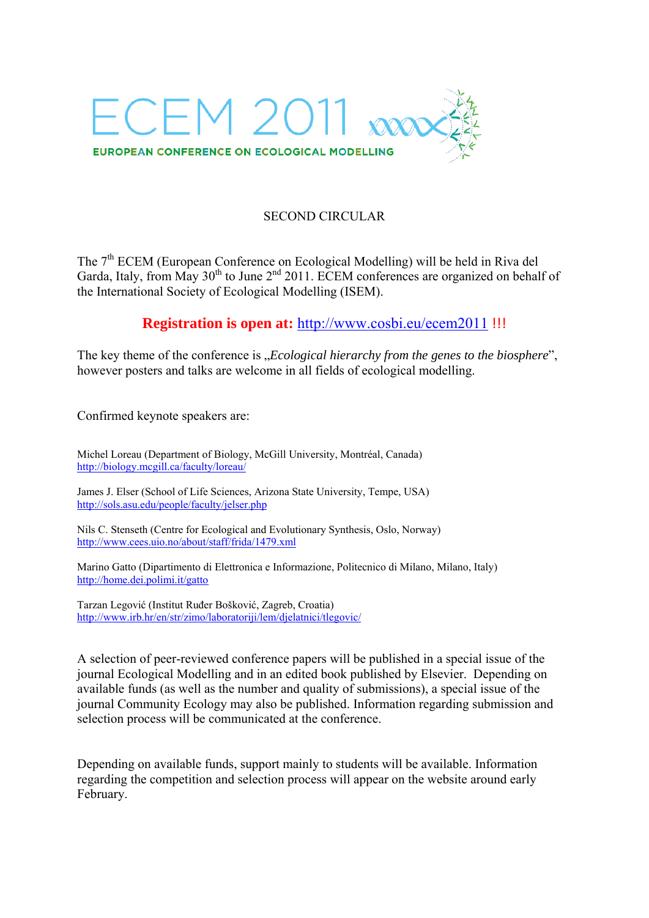

## SECOND CIRCULAR

The 7<sup>th</sup> ECEM (European Conference on Ecological Modelling) will be held in Riva del Garda, Italy, from May 30<sup>th</sup> to June 2<sup>nd</sup> 2011. ECEM conferences are organized on behalf of the International Society of Ecological Modelling (ISEM).

## **Registration is open at:** http://www.cosbi.eu/ecem2011 !!!

The key theme of the conference is *"Ecological hierarchy from the genes to the biosphere*", however posters and talks are welcome in all fields of ecological modelling.

Confirmed keynote speakers are:

Michel Loreau (Department of Biology, McGill University, Montréal, Canada) http://biology.mcgill.ca/faculty/loreau/

James J. Elser (School of Life Sciences, Arizona State University, Tempe, USA) http://sols.asu.edu/people/faculty/jelser.php

Nils C. Stenseth (Centre for Ecological and Evolutionary Synthesis, Oslo, Norway) http://www.cees.uio.no/about/staff/frida/1479.xml

Marino Gatto (Dipartimento di Elettronica e Informazione, Politecnico di Milano, Milano, Italy) http://home.dei.polimi.it/gatto

Tarzan Legović (Institut Ruđer Bošković, Zagreb, Croatia) http://www.irb.hr/en/str/zimo/laboratoriji/lem/djelatnici/tlegovic/

A selection of peer-reviewed conference papers will be published in a special issue of the journal Ecological Modelling and in an edited book published by Elsevier. Depending on available funds (as well as the number and quality of submissions), a special issue of the journal Community Ecology may also be published. Information regarding submission and selection process will be communicated at the conference.

Depending on available funds, support mainly to students will be available. Information regarding the competition and selection process will appear on the website around early February.